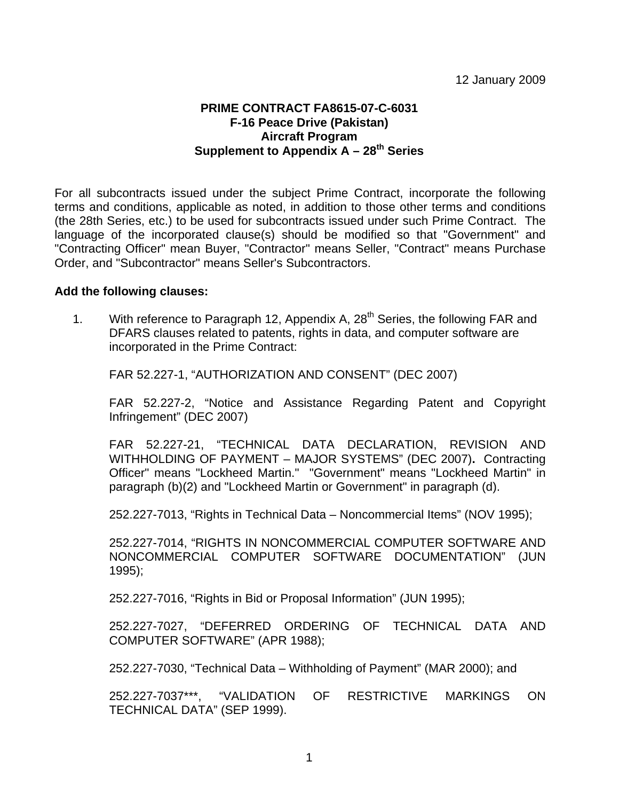## **PRIME CONTRACT FA8615-07-C-6031 F-16 Peace Drive (Pakistan) Aircraft Program**  Supplement to Appendix A – 28<sup>th</sup> Series

For all subcontracts issued under the subject Prime Contract, incorporate the following terms and conditions, applicable as noted, in addition to those other terms and conditions (the 28th Series, etc.) to be used for subcontracts issued under such Prime Contract. The language of the incorporated clause(s) should be modified so that "Government" and "Contracting Officer" mean Buyer, "Contractor" means Seller, "Contract" means Purchase Order, and "Subcontractor" means Seller's Subcontractors.

## **Add the following clauses:**

1. With reference to Paragraph 12, Appendix A,  $28<sup>th</sup>$  Series, the following FAR and DFARS clauses related to patents, rights in data, and computer software are incorporated in the Prime Contract:

FAR 52.227-1, "AUTHORIZATION AND CONSENT" (DEC 2007)

FAR 52.227-2, "Notice and Assistance Regarding Patent and Copyright Infringement" (DEC 2007)

FAR 52.227-21, "TECHNICAL DATA DECLARATION, REVISION AND WITHHOLDING OF PAYMENT – MAJOR SYSTEMS" (DEC 2007)**.** Contracting Officer" means "Lockheed Martin." "Government" means "Lockheed Martin" in paragraph (b)(2) and "Lockheed Martin or Government" in paragraph (d).

252.227-7013, "Rights in Technical Data – Noncommercial Items" (NOV 1995);

252.227-7014, "RIGHTS IN NONCOMMERCIAL COMPUTER SOFTWARE AND NONCOMMERCIAL COMPUTER SOFTWARE DOCUMENTATION" (JUN 1995);

252.227-7016, "Rights in Bid or Proposal Information" (JUN 1995);

252.227-7027, "DEFERRED ORDERING OF TECHNICAL DATA AND COMPUTER SOFTWARE" (APR 1988);

252.227-7030, "Technical Data – Withholding of Payment" (MAR 2000); and

252.227-7037\*\*\*, "VALIDATION OF RESTRICTIVE MARKINGS ON TECHNICAL DATA" (SEP 1999).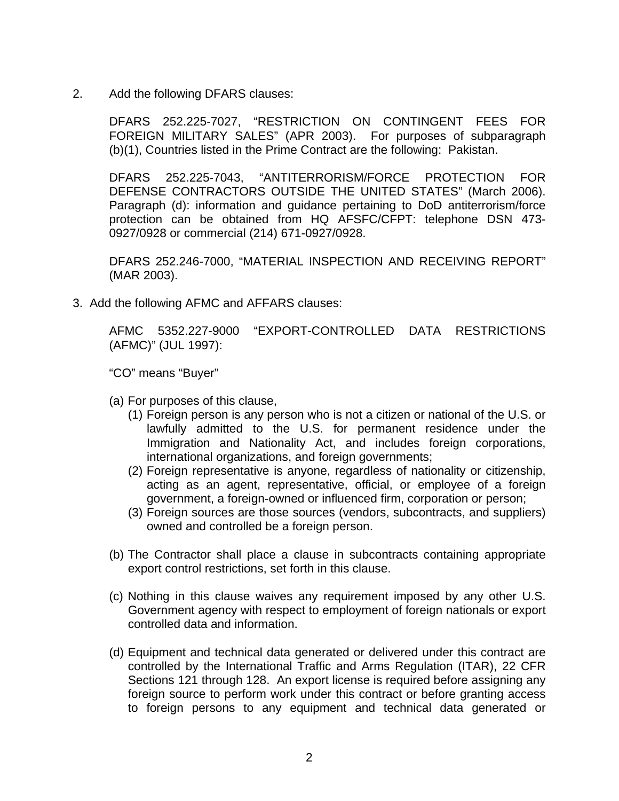2. Add the following DFARS clauses:

DFARS 252.225-7027, "RESTRICTION ON CONTINGENT FEES FOR FOREIGN MILITARY SALES" (APR 2003). For purposes of subparagraph (b)(1), Countries listed in the Prime Contract are the following: Pakistan.

DFARS 252.225-7043, "ANTITERRORISM/FORCE PROTECTION FOR DEFENSE CONTRACTORS OUTSIDE THE UNITED STATES" (March 2006). Paragraph (d): information and guidance pertaining to DoD antiterrorism/force protection can be obtained from HQ AFSFC/CFPT: telephone DSN 473- 0927/0928 or commercial (214) 671-0927/0928.

DFARS 252.246-7000, "MATERIAL INSPECTION AND RECEIVING REPORT" (MAR 2003).

3. Add the following AFMC and AFFARS clauses:

AFMC 5352.227-9000 "EXPORT-CONTROLLED DATA RESTRICTIONS (AFMC)" (JUL 1997):

"CO" means "Buyer"

- (a) For purposes of this clause,
	- (1) Foreign person is any person who is not a citizen or national of the U.S. or lawfully admitted to the U.S. for permanent residence under the Immigration and Nationality Act, and includes foreign corporations, international organizations, and foreign governments;
	- (2) Foreign representative is anyone, regardless of nationality or citizenship, acting as an agent, representative, official, or employee of a foreign government, a foreign-owned or influenced firm, corporation or person;
	- (3) Foreign sources are those sources (vendors, subcontracts, and suppliers) owned and controlled be a foreign person.
- (b) The Contractor shall place a clause in subcontracts containing appropriate export control restrictions, set forth in this clause.
- (c) Nothing in this clause waives any requirement imposed by any other U.S. Government agency with respect to employment of foreign nationals or export controlled data and information.
- (d) Equipment and technical data generated or delivered under this contract are controlled by the International Traffic and Arms Regulation (ITAR), 22 CFR Sections 121 through 128. An export license is required before assigning any foreign source to perform work under this contract or before granting access to foreign persons to any equipment and technical data generated or